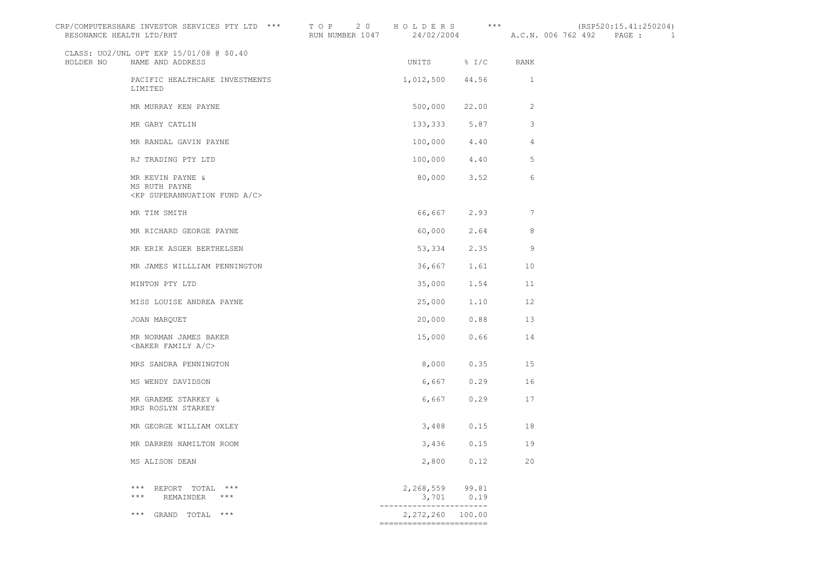| CRP/COMPUTERSHARE INVESTOR SERVICES PTY LTD *** TOP 20 HOLDERS *** (RSP520:15.41:250204)<br>RESONANCE HEALTH LTD/RHT |                                                                                    |                                                          |                  | RUN NUMBER 1047 24/02/2004 A.C.N. 006 762 492 PAGE : 1 |  |  |  |
|----------------------------------------------------------------------------------------------------------------------|------------------------------------------------------------------------------------|----------------------------------------------------------|------------------|--------------------------------------------------------|--|--|--|
|                                                                                                                      | CLASS: UO2/UNL OPT EXP 15/01/08 @ \$0.40<br>HOLDER NO NAME AND ADDRESS             |                                                          | UNITS % I/C RANK |                                                        |  |  |  |
|                                                                                                                      | PACIFIC HEALTHCARE INVESTMENTS<br>LIMITED                                          | 1,012,500 44.56 1                                        |                  |                                                        |  |  |  |
|                                                                                                                      | MR MURRAY KEN PAYNE                                                                |                                                          | 500,000 22.00    | -2                                                     |  |  |  |
|                                                                                                                      | MR GARY CATLIN                                                                     |                                                          | 133, 333 5.87 3  |                                                        |  |  |  |
|                                                                                                                      | MR RANDAL GAVIN PAYNE                                                              |                                                          | 100,000 4.40 4   |                                                        |  |  |  |
|                                                                                                                      | RJ TRADING PTY LTD                                                                 |                                                          | 100,000 4.40 5   |                                                        |  |  |  |
|                                                                                                                      | MR KEVIN PAYNE &<br>MS RUTH PAYNE<br><kp a="" c="" fund="" superannuation=""></kp> | 80,000                                                   | 3.52             | 6                                                      |  |  |  |
|                                                                                                                      | MR TIM SMITH                                                                       |                                                          | 66,667 2.93 7    |                                                        |  |  |  |
|                                                                                                                      | MR RICHARD GEORGE PAYNE                                                            | 60,000                                                   | 2.64             | 8                                                      |  |  |  |
|                                                                                                                      | MR ERIK ASGER BERTHELSEN                                                           | 53,334                                                   | $2.35$ 9         |                                                        |  |  |  |
|                                                                                                                      | MR JAMES WILLLIAM PENNINGTON                                                       |                                                          | 36,667 1.61 10   |                                                        |  |  |  |
|                                                                                                                      | MINTON PTY LTD                                                                     |                                                          | 35,000 1.54      | 11                                                     |  |  |  |
|                                                                                                                      | MISS LOUISE ANDREA PAYNE                                                           |                                                          | 25,000 1.10 12   |                                                        |  |  |  |
|                                                                                                                      | JOAN MARQUET                                                                       |                                                          | 20,000 0.88 13   |                                                        |  |  |  |
|                                                                                                                      | MR NORMAN JAMES BAKER<br><baker a="" c="" family=""></baker>                       | 15,000                                                   | 0.66             | 14                                                     |  |  |  |
|                                                                                                                      | MRS SANDRA PENNINGTON                                                              | 8,000                                                    | 0.35             | 15                                                     |  |  |  |
|                                                                                                                      | MS WENDY DAVIDSON                                                                  | 6,667                                                    | $0.29$ 16        |                                                        |  |  |  |
|                                                                                                                      | MR GRAEME STARKEY &<br>MRS ROSLYN STARKEY                                          | 6,667                                                    | 0.29             | 17                                                     |  |  |  |
|                                                                                                                      | MR GEORGE WILLIAM OXLEY                                                            |                                                          | 3,488 0.15       | 18                                                     |  |  |  |
|                                                                                                                      | MR DARREN HAMILTON ROOM                                                            |                                                          | $3,436$ 0.15     | 19                                                     |  |  |  |
|                                                                                                                      | MS ALISON DEAN                                                                     |                                                          | 2,800 0.12 20    |                                                        |  |  |  |
|                                                                                                                      | $^{\star\star\star}$ REPORT TOTAL $^{\star\star\star}$<br>$***$<br>REMAINDER ***   | 2,268,559 99.81<br>3,701 0.19<br>----------------------- |                  |                                                        |  |  |  |
|                                                                                                                      | *** GRAND TOTAL ***                                                                | 2,272,260 100.00<br>========================             |                  |                                                        |  |  |  |
|                                                                                                                      |                                                                                    |                                                          |                  |                                                        |  |  |  |